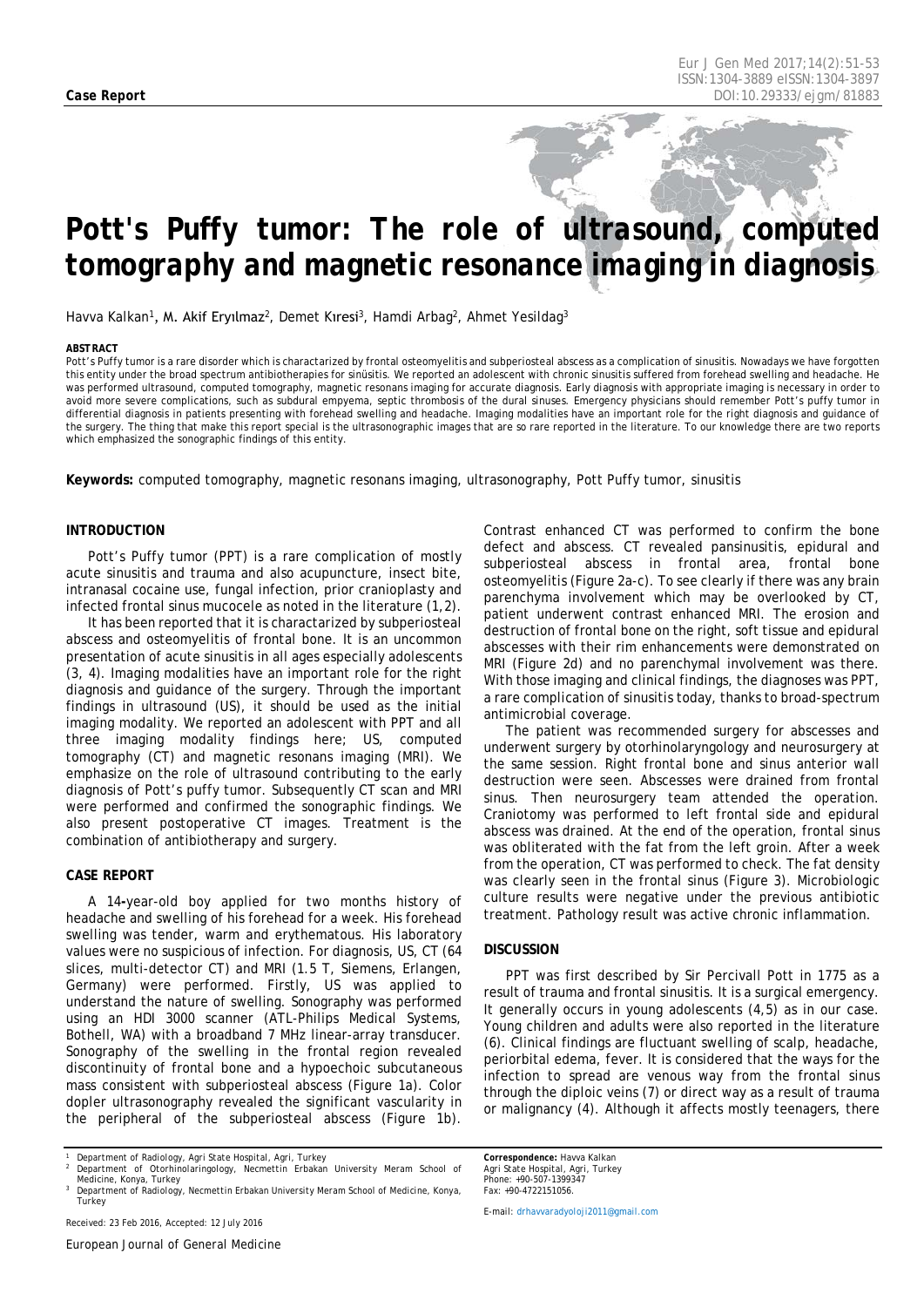# *Pott's Puffy tumor: The role of ultrasound, computed tomography and magnetic resonance imaging in diagnosis*

Havva Kalkan<sup>1</sup>, M. Akif Eryilmaz<sup>2</sup>, Demet Kıresi<sup>3</sup>, Hamdi Arbag<sup>2</sup>, Ahmet Yesildag<sup>3</sup>

#### <span id="page-0-0"></span>*ABSTRACT*

Pott's Puffy tumor is a rare disorder which is charactarized by frontal osteomyelitis and subperiosteal abscess as a complication of sinusitis. Nowadays we have forgotten this entity under the broad spectrum antibiotherapies for sinüsitis. We reported an adolescent with chronic sinusitis suffered from forehead swelling and headache. He was performed ultrasound, computed tomography, magnetic resonans imaging for accurate diagnosis. Early diagnosis with appropriate imaging is necessary in order to avoid more severe complications, such as subdural empyema, septic thrombosis of the dural sinuses. Emergency physicians should remember Pott's puffy tumor in differential diagnosis in patients presenting with forehead swelling and headache. Imaging modalities have an important role for the right diagnosis and guidance of the surgery. The thing that make this report special is the ultrasonographic images that are so rare reported in the literature. To our knowledge there are two reports which emphasized the sonographic findings of this entity.

**Keywords:** computed tomography, magnetic resonans imaging, ultrasonography, Pott Puffy tumor, sinusitis

## **INTRODUCTION**

Pott's Puffy tumor (PPT) is a rare complication of mostly acute sinusitis and trauma and also acupuncture, insect bite, intranasal cocaine use, fungal infection, prior cranioplasty and infected frontal sinus mucocele as noted in the literature (1,2).

It has been reported that it is charactarized by subperiosteal abscess and osteomyelitis of frontal bone. It is an uncommon presentation of acute sinusitis in all ages especially adolescents (3, 4). Imaging modalities have an important role for the right diagnosis and guidance of the surgery. Through the important findings in ultrasound (US), it should be used as the initial imaging modality. We reported an adolescent with PPT and all three imaging modality findings here; US, computed tomography (CT) and magnetic resonans imaging (MRI). We emphasize on the role of ultrasound contributing to the early diagnosis of Pott's puffy tumor. Subsequently CT scan and MRI were performed and confirmed the sonographic findings. We also present postoperative CT images. Treatment is the combination of antibiotherapy and surgery.

# **CASE REPORT**

A 14**-**year-old boy applied for two months history of headache and swelling of his forehead for a week. His forehead swelling was tender, warm and erythematous. His laboratory values were no suspicious of infection. For diagnosis, US, CT (64 slices, multi-detector CT) and MRI (1.5 T, Siemens, Erlangen, Germany) were performed. Firstly, US was applied to understand the nature of swelling. Sonography was performed using an HDI 3000 scanner (ATL-Philips Medical Systems, Bothell, WA) with a broadband 7 MHz linear-array transducer. Sonography of the swelling in the frontal region revealed discontinuity of frontal bone and a hypoechoic subcutaneous mass consistent with subperiosteal abscess (Figure 1a). Color dopler ultrasonography revealed the significant vascularity in the peripheral of the subperiosteal abscess (Figure 1b).

*Received: 23 Feb 2016, Accepted: 12 July 2016*

*Turkey*

Contrast enhanced CT was performed to confirm the bone defect and abscess. CT revealed pansinusitis, epidural and subperiosteal abscess in frontal area, frontal bone osteomyelitis (Figure 2a-c). To see clearly if there was any brain parenchyma involvement which may be overlooked by CT, patient underwent contrast enhanced MRI. The erosion and destruction of frontal bone on the right, soft tissue and epidural abscesses with their rim enhancements were demonstrated on MRI (Figure 2d) and no parenchymal involvement was there. With those imaging and clinical findings, the diagnoses was PPT, a rare complication of sinusitis today, thanks to broad-spectrum antimicrobial coverage.

The patient was recommended surgery for abscesses and underwent surgery by otorhinolaryngology and neurosurgery at the same session. Right frontal bone and sinus anterior wall destruction were seen. Abscesses were drained from frontal sinus. Then neurosurgery team attended the operation. Craniotomy was performed to left frontal side and epidural abscess was drained. At the end of the operation, frontal sinus was obliterated with the fat from the left groin. After a week from the operation, CT was performed to check. The fat density was clearly seen in the frontal sinus (Figure 3). Microbiologic culture results were negative under the previous antibiotic treatment. Pathology result was active chronic inflammation.

## **DISCUSSION**

PPT was first described by Sir Percivall Pott in 1775 as a result of trauma and frontal sinusitis. It is a surgical emergency. It generally occurs in young adolescents (4,5) as in our case. Young children and adults were also reported in the literature (6). Clinical findings are fluctuant swelling of scalp, headache, periorbital edema, fever. It is considered that the ways for the infection to spread are venous way from the frontal sinus through the diploic veins (7) or direct way as a result of trauma or malignancy (4). Although it affects mostly teenagers, there

*Correspondence: Havva Kalkan Agri State Hospital, Agri, Turkey Phone: +90-507-1399347 Fax: +90-4722151056.*

*E-mail: drhavvaradyoloji2011@gmail.com*

*<sup>1</sup> Department of Radiology, Agri State Hospital, Agri, Turkey <sup>2</sup> Department of Otorhinolaringology, Necmettin Erbakan University Meram School of* 

*Medicine, Konya, Turkey <sup>3</sup> Department of Radiology, Necmettin Erbakan University Meram School of Medicine, Konya,*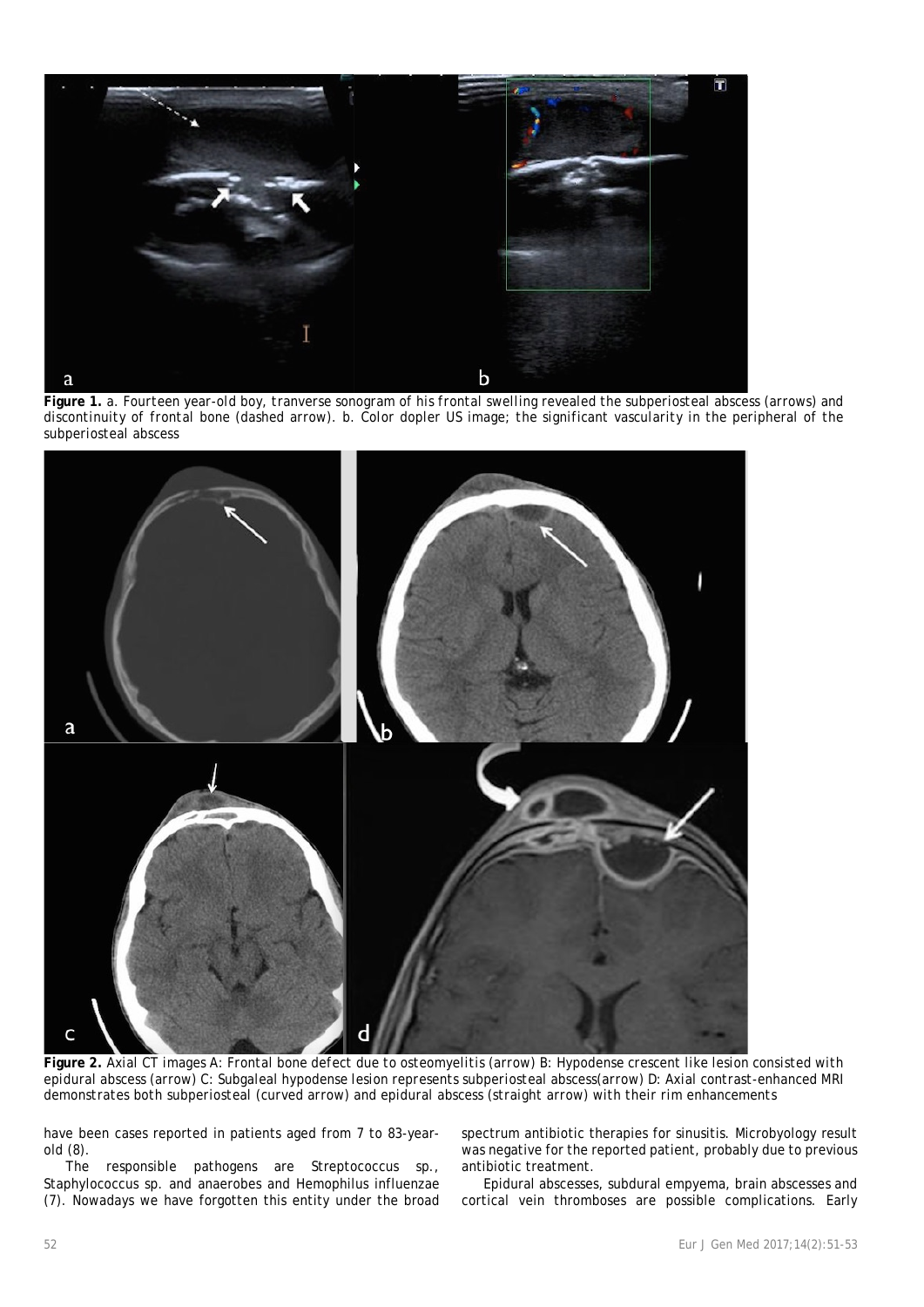

**Figure 1.** *a. Fourteen year-old boy, tranverse sonogram of his frontal swelling revealed the subperiosteal abscess (arrows) and discontinuity of frontal bone (dashed arrow). b. Color dopler US image; the significant vascularity in the peripheral of the subperiosteal abscess*



**Figure 2.** *Axial CT images A: Frontal bone defect due to osteomyelitis (arrow) B: Hypodense crescent like lesion consisted with epidural abscess (arrow) C: Subgaleal hypodense lesion represents subperiosteal abscess(arrow) D: Axial contrast-enhanced MRI demonstrates both subperiosteal (curved arrow) and epidural abscess (straight arrow) with their rim enhancements*

have been cases reported in patients aged from 7 to 83-yearold (8).

The responsible pathogens are Streptococcus sp., Staphylococcus sp. and anaerobes and Hemophilus influenzae (7). Nowadays we have forgotten this entity under the broad

spectrum antibiotic therapies for sinusitis. Microbyology result was negative for the reported patient, probably due to previous antibiotic treatment.

Epidural abscesses, subdural empyema, brain abscesses and cortical vein thromboses are possible complications. Early